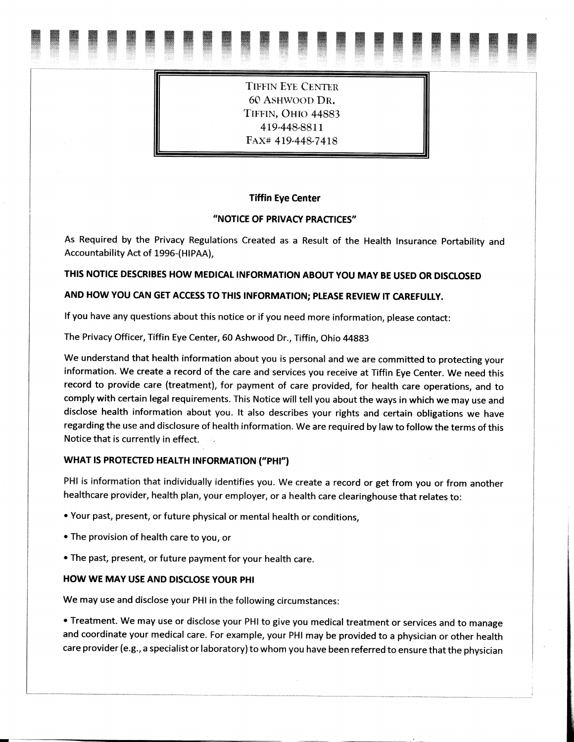**TIFFIN EYE CENTER** 60 ASHWOOD DR. TIFFIN, OHIO 44883 419-448-8811 FAX# 419-448-7418

#### **Tiffin Eye Center**

## "NOTICE OF PRIVACY PRACTICES"

As Required by the Privacy Regulations Created as a Result of the Health Insurance Portability and Accountability Act of 1996-(HIPAA),

# THIS NOTICE DESCRIBES HOW MEDICAL INFORMATION ABOUT YOU MAY BE USED OR DISCLOSED

# AND HOW YOU CAN GET ACCESS TO THIS INFORMATION; PLEASE REVIEW IT CAREFULLY.

If you have any questions about this notice or if you need more information, please contact:

The Privacy Officer, Tiffin Eye Center, 60 Ashwood Dr., Tiffin, Ohio 44883

We understand that health information about you is personal and we are committed to protecting your information. We create a record of the care and services you receive at Tiffin Eye Center. We need this record to provide care (treatment), for payment of care provided, for health care operations, and to comply with certain legal requirements. This Notice will tell you about the ways in which we may use and disclose health information about you. It also describes your rights and certain obligations we have regarding the use and disclosure of health information. We are required by law to follow the terms of this Notice that is currently in effect.

#### WHAT IS PROTECTED HEALTH INFORMATION ("PHI")

PHI is information that individually identifies you. We create a record or get from you or from another healthcare provider, health plan, your employer, or a health care clearinghouse that relates to:

- Your past, present, or future physical or mental health or conditions.
- The provision of health care to you, or
- The past, present, or future payment for your health care.

#### **HOW WE MAY USE AND DISCLOSE YOUR PHI**

We may use and disclose your PHI in the following circumstances:

• Treatment. We may use or disclose your PHI to give you medical treatment or services and to manage and coordinate your medical care. For example, your PHI may be provided to a physician or other health care provider (e.g., a specialist or laboratory) to whom you have been referred to ensure that the physician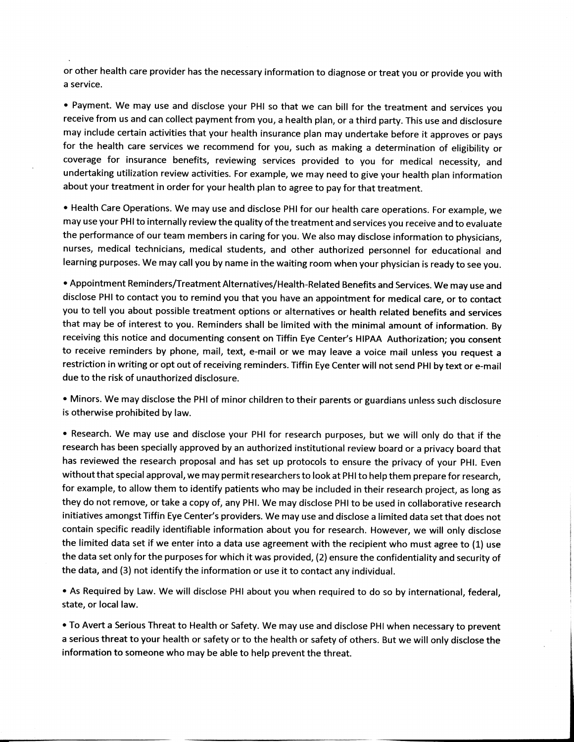or other health care provider has the necessary information to diagnose or treat you or provide you with a service.

• Payment. We may use and disclose your PHI so that we can bill for the treatment and services you receive from us and can collect payment from you, a health plan, or a third party. This use and disclosure may include certain activities that your health insurance plan may undertake before it approves or pays for the health care services we recommend for you, such as making a determination of eligibility or coverage for insurance benefits, reviewing services provided to you for medical necessity, and undertaking utilization review activities. For example, we may need to give your health plan information about your treatment in order for your health plan to agree to pay for that treatment.

• Health Care Operations. We may use and disclose PHI for our health care operations. For example, we may use your PHI to internally review the quality of the treatment and services you receive and to evaluate the performance of our team members in caring for you. We also may disclose information to physicians, nurses, medical technicians, medical students, and other authorized personnel for educational and learning purposes. We may call you by name in the waiting room when your physician is ready to see you.

• Appointment Reminders/Treatment Alternatives/Health-Related Benefits and Services. We may use and disclose PHI to contact you to remind you that you have an appointment for medical care, or to contact you to tell you about possible treatment options or alternatives or health related benefits and services that may be of interest to you. Reminders shall be limited with the minimal amount of information. By receiving this notice and documenting consent on Tiffin Eye Center's HIPAA Authorization; you consent to receive reminders by phone, mail, text, e-mail or we may leave a voice mail unless you request a restriction in writing or opt out of receiving reminders. Tiffin Eye Center will not send PHI by text or e-mail due to the risk of unauthorized disclosure.

. Minors. We may disclose the PHI of minor children to their parents or guardians unless such disclosure is otherwise prohibited by law.

. Research. We may use and disclose your PHI for research purposes, but we will only do that if the research has been specially approved by an authorized institutional review board or a privacy board that has reviewed the research proposal and has set up protocols to ensure the privacy of your PHI. Even without that special approval, we may permit researchers to look at PHI to help them prepare for research, for example, to allow them to identify patients who may be included in their research project, as long as they do not remove, or take a copy of, any PHI. We may disclose PHI to be used in collaborative research initiatives amongst Tiffin Eye Center's providers. We may use and disclose a limited data set that does not contain specific readily identifiable information about you for research. However, we will only disclose the limited data set if we enter into a data use agreement with the recipient who must agree to (1) use the data set only for the purposes for which it was provided, (2) ensure the confidentiality and security of the data, and (3) not identify the information or use it to contact any individual.

As Required by Law. We will disclose PHI about you when required to do so by international, federal, state, or local law.

• To Avert a Serious Threat to Health or Safety. We may use and disclose PHI when necessary to prevent a serious threat to your health or safety or to the health or safety of others. But we will only disclose the information to someone who may be able to help prevent the threat.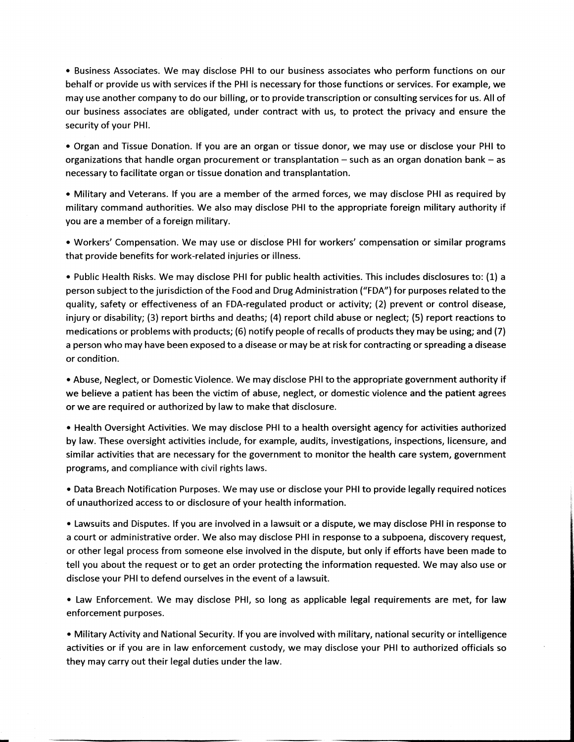• Business Associates. We may disclose PHI to our business associates who perform functions on our behalf or provide us with services if the PHI is necessary for those functions or services. For example, we may use another company to do our billing, or to provide transcription or consulting services for us. All of our business associates are obligated, under contract with us, to protect the privacy and ensure the security of your PHI.

Organ and Tissue Donation. If you are an organ or tissue donor, we may use or disclose your PHI to organizations that handle organ procurement or transplantation - such as an organ donation bank - as necessary to facilitate organ or tissue donation and transplantation.

• Military and Veterans. If you are a member of the armed forces, we may disclose PHI as required by military command authorities. We also may disclose PHI to the appropriate foreign military authority if you are a member of a foreign military.

• Workers' Compensation. We may use or disclose PHI for workers' compensation or similar programs that provide benefits for work-related injuries or illness.

• Public Health Risks. We may disclose PHI for public health activities. This includes disclosures to: (1) a person subject to the jurisdiction of the Food and Drug Administration ("FDA") for purposes related to the quality, safety or effectiveness of an FDA-regulated product or activity; (2) prevent or control disease, injury or disability; (3) report births and deaths; (4) report child abuse or neglect; (5) report reactions to medications or problems with products; (6) notify people of recalls of products they may be using; and (7) a person who may have been exposed to a disease or may be at risk for contracting or spreading a disease or condition.

• Abuse, Neglect, or Domestic Violence. We may disclose PHI to the appropriate government authority if we believe a patient has been the victim of abuse, neglect, or domestic violence and the patient agrees or we are required or authorized by law to make that disclosure.

. Health Oversight Activities. We may disclose PHI to a health oversight agency for activities authorized by law. These oversight activities include, for example, audits, investigations, inspections, licensure, and similar activities that are necessary for the government to monitor the health care system, government programs, and compliance with civil rights laws.

• Data Breach Notification Purposes. We may use or disclose your PHI to provide legally required notices of unauthorized access to or disclosure of your health information.

• Lawsuits and Disputes. If you are involved in a lawsuit or a dispute, we may disclose PHI in response to a court or administrative order. We also may disclose PHI in response to a subpoena, discovery request, or other legal process from someone else involved in the dispute, but only if efforts have been made to tell you about the request or to get an order protecting the information requested. We may also use or disclose your PHI to defend ourselves in the event of a lawsuit.

• Law Enforcement. We may disclose PHI, so long as applicable legal requirements are met, for law enforcement purposes.

• Military Activity and National Security. If you are involved with military, national security or intelligence activities or if you are in law enforcement custody, we may disclose your PHI to authorized officials so they may carry out their legal duties under the law.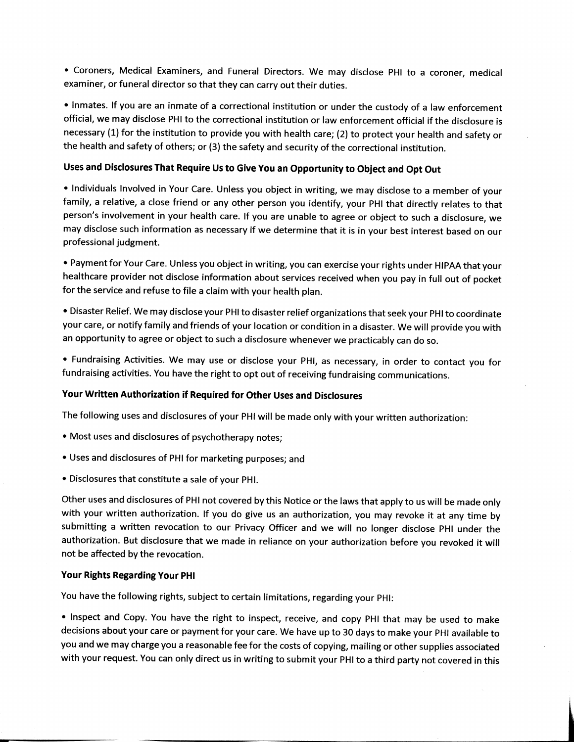• Coroners, Medical Examiners, and Funeral Directors. We may disclose PHI to a coroner, medical examiner, or funeral director so that they can carry out their duties.

• Inmates. If you are an inmate of a correctional institution or under the custody of a law enforcement official, we may disclose PHI to the correctional institution or law enforcement official if the disclosure is necessary (1) for the institution to provide you with health care; (2) to protect your health and safety or the health and safety of others; or (3) the safety and security of the correctional institution.

## Uses and Disclosures That Require Us to Give You an Opportunity to Object and Opt Out

. Individuals Involved in Your Care. Unless you object in writing, we may disclose to a member of your family, a relative, a close friend or any other person you identify, your PHI that directly relates to that person's involvement in your health care. If you are unable to agree or object to such a disclosure, we may disclose such information as necessary if we determine that it is in your best interest based on our professional judgment.

• Payment for Your Care. Unless you object in writing, you can exercise your rights under HIPAA that your healthcare provider not disclose information about services received when you pay in full out of pocket for the service and refuse to file a claim with your health plan.

• Disaster Relief. We may disclose your PHI to disaster relief organizations that seek your PHI to coordinate your care, or notify family and friends of your location or condition in a disaster. We will provide you with an opportunity to agree or object to such a disclosure whenever we practicably can do so.

• Fundraising Activities. We may use or disclose your PHI, as necessary, in order to contact you for fundraising activities. You have the right to opt out of receiving fundraising communications.

### Your Written Authorization if Required for Other Uses and Disclosures

The following uses and disclosures of your PHI will be made only with your written authorization:

- . Most uses and disclosures of psychotherapy notes;
- Uses and disclosures of PHI for marketing purposes; and
- . Disclosures that constitute a sale of your PHI.

Other uses and disclosures of PHI not covered by this Notice or the laws that apply to us will be made only with your written authorization. If you do give us an authorization, you may revoke it at any time by submitting a written revocation to our Privacy Officer and we will no longer disclose PHI under the authorization. But disclosure that we made in reliance on your authorization before you revoked it will not be affected by the revocation.

### **Your Rights Regarding Your PHI**

You have the following rights, subject to certain limitations, regarding your PHI:

• Inspect and Copy. You have the right to inspect, receive, and copy PHI that may be used to make decisions about your care or payment for your care. We have up to 30 days to make your PHI available to you and we may charge you a reasonable fee for the costs of copying, mailing or other supplies associated with your request. You can only direct us in writing to submit your PHI to a third party not covered in this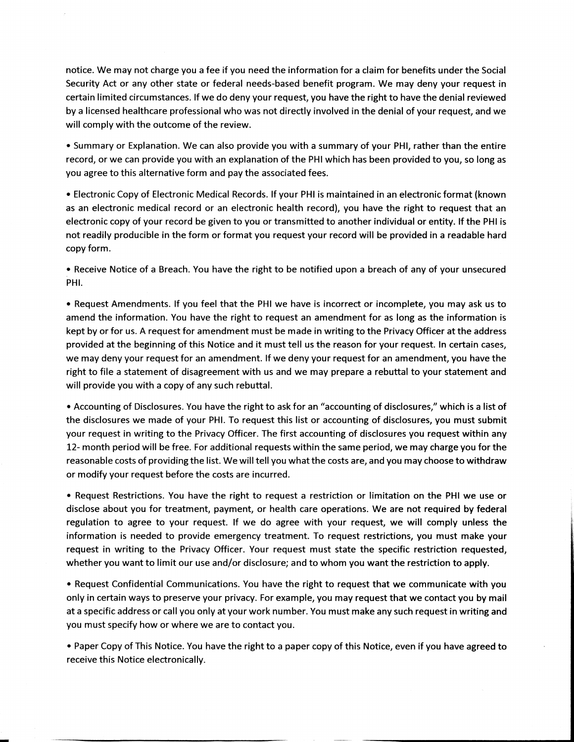notice. We may not charge you a fee if you need the information for a claim for benefits under the Social Security Act or any other state or federal needs-based benefit program. We may deny your request in certain limited circumstances. If we do deny your request, you have the right to have the denial reviewed by a licensed healthcare professional who was not directly involved in the denial of your request, and we will comply with the outcome of the review.

• Summary or Explanation. We can also provide you with a summary of your PHI, rather than the entire record, or we can provide you with an explanation of the PHI which has been provided to you, so long as you agree to this alternative form and pay the associated fees.

• Electronic Copy of Electronic Medical Records. If your PHI is maintained in an electronic format (known as an electronic medical record or an electronic health record), you have the right to request that an electronic copy of your record be given to you or transmitted to another individual or entity. If the PHI is not readily producible in the form or format you request your record will be provided in a readable hard copy form.

• Receive Notice of a Breach. You have the right to be notified upon a breach of any of your unsecured PHI.

• Request Amendments. If you feel that the PHI we have is incorrect or incomplete, you may ask us to amend the information. You have the right to request an amendment for as long as the information is kept by or for us. A request for amendment must be made in writing to the Privacy Officer at the address provided at the beginning of this Notice and it must tell us the reason for your request. In certain cases, we may deny your request for an amendment. If we deny your request for an amendment, you have the right to file a statement of disagreement with us and we may prepare a rebuttal to your statement and will provide you with a copy of any such rebuttal.

• Accounting of Disclosures. You have the right to ask for an "accounting of disclosures," which is a list of the disclosures we made of your PHI. To request this list or accounting of disclosures, you must submit your request in writing to the Privacy Officer. The first accounting of disclosures you request within any 12- month period will be free. For additional requests within the same period, we may charge you for the reasonable costs of providing the list. We will tell you what the costs are, and you may choose to withdraw or modify your request before the costs are incurred.

• Request Restrictions. You have the right to request a restriction or limitation on the PHI we use or disclose about you for treatment, payment, or health care operations. We are not required by federal regulation to agree to your request. If we do agree with your request, we will comply unless the information is needed to provide emergency treatment. To request restrictions, you must make your request in writing to the Privacy Officer. Your request must state the specific restriction requested, whether you want to limit our use and/or disclosure; and to whom you want the restriction to apply.

• Request Confidential Communications. You have the right to request that we communicate with you only in certain ways to preserve your privacy. For example, you may request that we contact you by mail at a specific address or call you only at your work number. You must make any such request in writing and you must specify how or where we are to contact you.

• Paper Copy of This Notice. You have the right to a paper copy of this Notice, even if you have agreed to receive this Notice electronically.